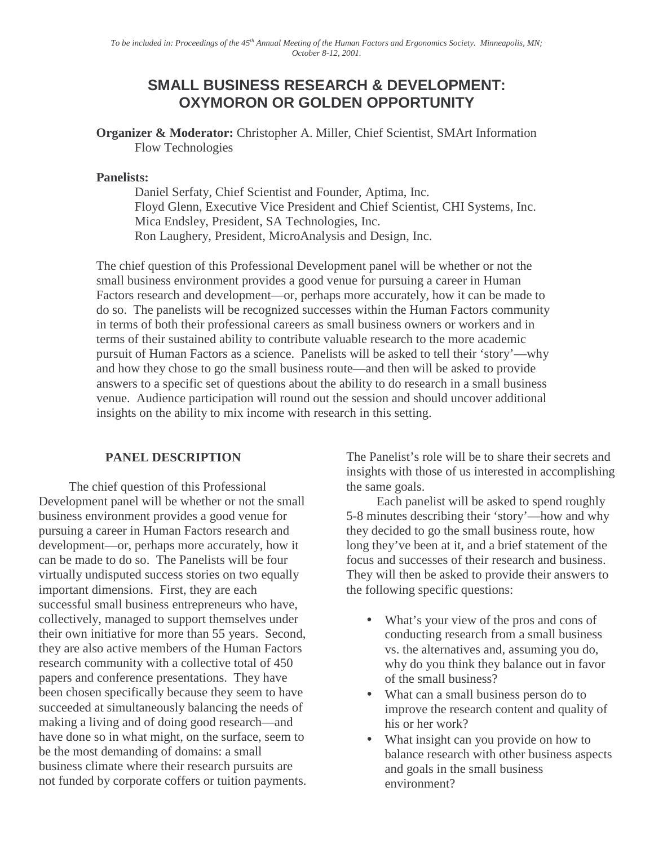# **SMALL BUSINESS RESEARCH & DEVELOPMENT: OXYMORON OR GOLDEN OPPORTUNITY**

**Organizer & Moderator:** Christopher A. Miller, Chief Scientist, SMArt Information Flow Technologies

## **Panelists:**

Daniel Serfaty, Chief Scientist and Founder, Aptima, Inc. Floyd Glenn, Executive Vice President and Chief Scientist, CHI Systems, Inc. Mica Endsley, President, SA Technologies, Inc. Ron Laughery, President, MicroAnalysis and Design, Inc.

The chief question of this Professional Development panel will be whether or not the small business environment provides a good venue for pursuing a career in Human Factors research and development—or, perhaps more accurately, how it can be made to do so. The panelists will be recognized successes within the Human Factors community in terms of both their professional careers as small business owners or workers and in terms of their sustained ability to contribute valuable research to the more academic pursuit of Human Factors as a science. Panelists will be asked to tell their 'story'—why and how they chose to go the small business route—and then will be asked to provide answers to a specific set of questions about the ability to do research in a small business venue. Audience participation will round out the session and should uncover additional insights on the ability to mix income with research in this setting.

# **PANEL DESCRIPTION**

The chief question of this Professional Development panel will be whether or not the small business environment provides a good venue for pursuing a career in Human Factors research and development—or, perhaps more accurately, how it can be made to do so. The Panelists will be four virtually undisputed success stories on two equally important dimensions. First, they are each successful small business entrepreneurs who have, collectively, managed to support themselves under their own initiative for more than 55 years. Second, they are also active members of the Human Factors research community with a collective total of 450 papers and conference presentations. They have been chosen specifically because they seem to have succeeded at simultaneously balancing the needs of making a living and of doing good research—and have done so in what might, on the surface, seem to be the most demanding of domains: a small business climate where their research pursuits are not funded by corporate coffers or tuition payments. The Panelist's role will be to share their secrets and insights with those of us interested in accomplishing the same goals.

Each panelist will be asked to spend roughly 5-8 minutes describing their 'story'—how and why they decided to go the small business route, how long they've been at it, and a brief statement of the focus and successes of their research and business. They will then be asked to provide their answers to the following specific questions:

- What's your view of the pros and cons of conducting research from a small business vs. the alternatives and, assuming you do, why do you think they balance out in favor of the small business?
- What can a small business person do to improve the research content and quality of his or her work?
- What insight can you provide on how to balance research with other business aspects and goals in the small business environment?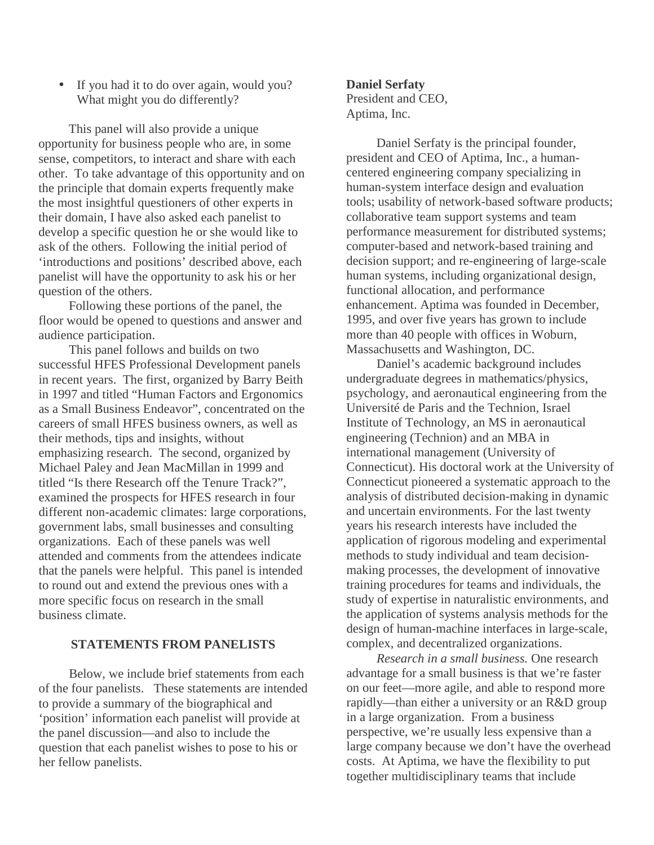• If you had it to do over again, would you? What might you do differently?

This panel will also provide a unique opportunity for business people who are, in some sense, competitors, to interact and share with each other. To take advantage of this opportunity and on the principle that domain experts frequently make the most insightful questioners of other experts in their domain, I have also asked each panelist to develop a specific question he or she would like to ask of the others. Following the initial period of 'introductions and positions' described above, each panelist will have the opportunity to ask his or her question of the others.

Following these portions of the panel, the floor would be opened to questions and answer and audience participation.

This panel follows and builds on two successful HFES Professional Development panels in recent years. The first, organized by Barry Beith in 1997 and titled "Human Factors and Ergonomics as a Small Business Endeavor", concentrated on the careers of small HFES business owners, as well as their methods, tips and insights, without emphasizing research. The second, organized by Michael Paley and Jean MacMillan in 1999 and titled "Is there Research off the Tenure Track?", examined the prospects for HFES research in four different non-academic climates: large corporations, government labs, small businesses and consulting organizations. Each of these panels was well attended and comments from the attendees indicate that the panels were helpful. This panel is intended to round out and extend the previous ones with a more specific focus on research in the small business climate.

## **STATEMENTS FROM PANELISTS**

Below, we include brief statements from each of the four panelists. These statements are intended to provide a summary of the biographical and 'position' information each panelist will provide at the panel discussion—and also to include the question that each panelist wishes to pose to his or her fellow panelists.

#### **Daniel Serfaty**

President and CEO, Aptima, Inc.

Daniel Serfaty is the principal founder, president and CEO of Aptima, Inc., a humancentered engineering company specializing in human-system interface design and evaluation tools; usability of network-based software products; collaborative team support systems and team performance measurement for distributed systems; computer-based and network-based training and decision support; and re-engineering of large-scale human systems, including organizational design, functional allocation, and performance enhancement. Aptima was founded in December, 1995, and over five years has grown to include more than 40 people with offices in Woburn, Massachusetts and Washington, DC.

Daniel's academic background includes undergraduate degrees in mathematics/physics, psychology, and aeronautical engineering from the Université de Paris and the Technion, Israel Institute of Technology, an MS in aeronautical engineering (Technion) and an MBA in international management (University of Connecticut). His doctoral work at the University of Connecticut pioneered a systematic approach to the analysis of distributed decision-making in dynamic and uncertain environments. For the last twenty years his research interests have included the application of rigorous modeling and experimental methods to study individual and team decisionmaking processes, the development of innovative training procedures for teams and individuals, the study of expertise in naturalistic environments, and the application of systems analysis methods for the design of human-machine interfaces in large-scale, complex, and decentralized organizations.

*Research in a small business.* One research advantage for a small business is that we're faster on our feet—more agile, and able to respond more rapidly—than either a university or an R&D group in a large organization. From a business perspective, we're usually less expensive than a large company because we don't have the overhead costs. At Aptima, we have the flexibility to put together multidisciplinary teams that include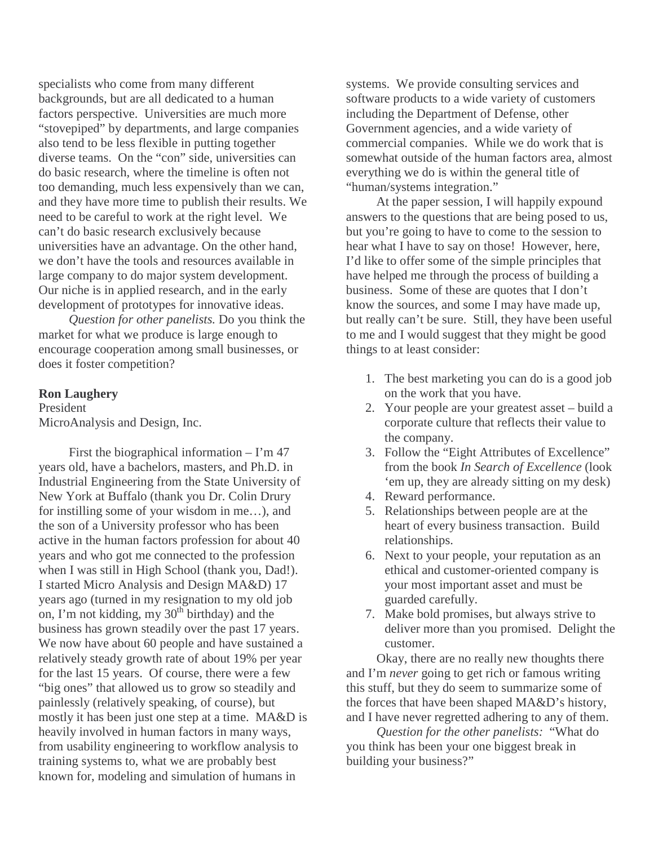specialists who come from many different backgrounds, but are all dedicated to a human factors perspective. Universities are much more "stovepiped" by departments, and large companies also tend to be less flexible in putting together diverse teams. On the "con" side, universities can do basic research, where the timeline is often not too demanding, much less expensively than we can, and they have more time to publish their results. We need to be careful to work at the right level. We can't do basic research exclusively because universities have an advantage. On the other hand, we don't have the tools and resources available in large company to do major system development. Our niche is in applied research, and in the early development of prototypes for innovative ideas.

*Question for other panelists.* Do you think the market for what we produce is large enough to encourage cooperation among small businesses, or does it foster competition?

## **Ron Laughery**

President MicroAnalysis and Design, Inc.

First the biographical information  $-$  I'm 47 years old, have a bachelors, masters, and Ph.D. in Industrial Engineering from the State University of New York at Buffalo (thank you Dr. Colin Drury for instilling some of your wisdom in me…), and the son of a University professor who has been active in the human factors profession for about 40 years and who got me connected to the profession when I was still in High School (thank you, Dad!). I started Micro Analysis and Design MA&D) 17 years ago (turned in my resignation to my old job on, I'm not kidding, my 30<sup>th</sup> birthday) and the business has grown steadily over the past 17 years. We now have about 60 people and have sustained a relatively steady growth rate of about 19% per year for the last 15 years. Of course, there were a few "big ones" that allowed us to grow so steadily and painlessly (relatively speaking, of course), but mostly it has been just one step at a time. MA&D is heavily involved in human factors in many ways, from usability engineering to workflow analysis to training systems to, what we are probably best known for, modeling and simulation of humans in

systems. We provide consulting services and software products to a wide variety of customers including the Department of Defense, other Government agencies, and a wide variety of commercial companies. While we do work that is somewhat outside of the human factors area, almost everything we do is within the general title of "human/systems integration."

At the paper session, I will happily expound answers to the questions that are being posed to us, but you're going to have to come to the session to hear what I have to say on those! However, here, I'd like to offer some of the simple principles that have helped me through the process of building a business. Some of these are quotes that I don't know the sources, and some I may have made up, but really can't be sure. Still, they have been useful to me and I would suggest that they might be good things to at least consider:

- 1. The best marketing you can do is a good job on the work that you have.
- 2. Your people are your greatest asset build a corporate culture that reflects their value to the company.
- 3. Follow the "Eight Attributes of Excellence" from the book *In Search of Excellence* (look 'em up, they are already sitting on my desk)
- 4. Reward performance.
- 5. Relationships between people are at the heart of every business transaction. Build relationships.
- 6. Next to your people, your reputation as an ethical and customer-oriented company is your most important asset and must be guarded carefully.
- 7. Make bold promises, but always strive to deliver more than you promised. Delight the customer.

Okay, there are no really new thoughts there and I'm *never* going to get rich or famous writing this stuff, but they do seem to summarize some of the forces that have been shaped MA&D's history, and I have never regretted adhering to any of them.

*Question for the other panelists:* "What do you think has been your one biggest break in building your business?"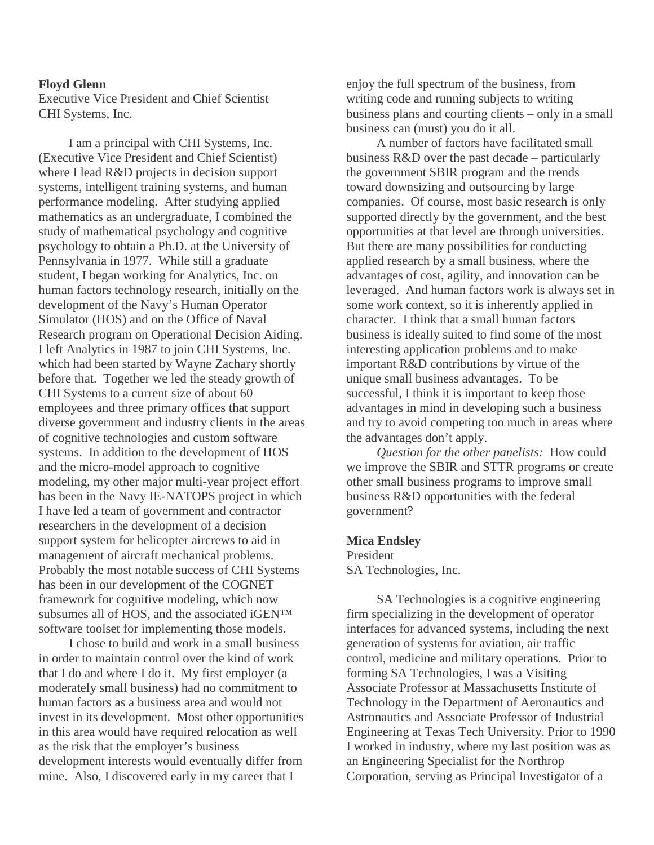#### **Floyd Glenn**

Executive Vice President and Chief Scientist CHI Systems, Inc.

I am a principal with CHI Systems, Inc. (Executive Vice President and Chief Scientist) where I lead R&D projects in decision support systems, intelligent training systems, and human performance modeling. After studying applied mathematics as an undergraduate, I combined the study of mathematical psychology and cognitive psychology to obtain a Ph.D. at the University of Pennsylvania in 1977. While still a graduate student, I began working for Analytics, Inc. on human factors technology research, initially on the development of the Navy's Human Operator Simulator (HOS) and on the Office of Naval Research program on Operational Decision Aiding. I left Analytics in 1987 to join CHI Systems, Inc. which had been started by Wayne Zachary shortly before that. Together we led the steady growth of CHI Systems to a current size of about 60 employees and three primary offices that support diverse government and industry clients in the areas of cognitive technologies and custom software systems. In addition to the development of HOS and the micro-model approach to cognitive modeling, my other major multi-year project effort has been in the Navy IE-NATOPS project in which I have led a team of government and contractor researchers in the development of a decision support system for helicopter aircrews to aid in management of aircraft mechanical problems. Probably the most notable success of CHI Systems has been in our development of the COGNET framework for cognitive modeling, which now subsumes all of HOS, and the associated iGEN™ software toolset for implementing those models.

I chose to build and work in a small business in order to maintain control over the kind of work that I do and where I do it. My first employer (a moderately small business) had no commitment to human factors as a business area and would not invest in its development. Most other opportunities in this area would have required relocation as well as the risk that the employer's business development interests would eventually differ from mine. Also, I discovered early in my career that I

enjoy the full spectrum of the business, from writing code and running subjects to writing business plans and courting clients – only in a small business can (must) you do it all.

A number of factors have facilitated small business R&D over the past decade – particularly the government SBIR program and the trends toward downsizing and outsourcing by large companies. Of course, most basic research is only supported directly by the government, and the best opportunities at that level are through universities. But there are many possibilities for conducting applied research by a small business, where the advantages of cost, agility, and innovation can be leveraged. And human factors work is always set in some work context, so it is inherently applied in character. I think that a small human factors business is ideally suited to find some of the most interesting application problems and to make important R&D contributions by virtue of the unique small business advantages. To be successful, I think it is important to keep those advantages in mind in developing such a business and try to avoid competing too much in areas where the advantages don't apply.

*Question for the other panelists:* How could we improve the SBIR and STTR programs or create other small business programs to improve small business R&D opportunities with the federal government?

### **Mica Endsley**

President SA Technologies, Inc.

SA Technologies is a cognitive engineering firm specializing in the development of operator interfaces for advanced systems, including the next generation of systems for aviation, air traffic control, medicine and military operations. Prior to forming SA Technologies, I was a Visiting Associate Professor at Massachusetts Institute of Technology in the Department of Aeronautics and Astronautics and Associate Professor of Industrial Engineering at Texas Tech University. Prior to 1990 I worked in industry, where my last position was as an Engineering Specialist for the Northrop Corporation, serving as Principal Investigator of a